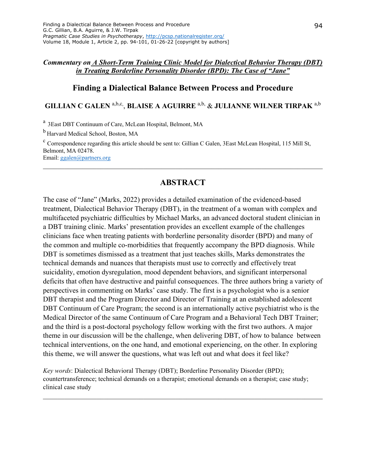#### *Commentary on A Short-Term Training Clinic Model for Dialectical Behavior Therapy (DBT) in Treating Borderline Personality Disorder (BPD): The Case of "Jane"*

#### **Finding a Dialectical Balance Between Process and Procedure**

## **GILLIAN C GALEN** a,b,c, , **BLAISE A AGUIRRE** a,b, & **JULIANNE WILNER TIRPAK** a,b

a 3East DBT Continuum of Care, McLean Hospital, Belmont, MA

<sup>b</sup> Harvard Medical School, Boston, MA

<sup>c</sup> Correspondence regarding this article should be sent to: Gillian C Galen, 3East McLean Hospital, 115 Mill St, Belmont, MA 02478. Email: ggalen@partners.org

\_\_\_\_\_\_\_\_\_\_\_\_\_\_\_\_\_\_\_\_\_\_\_\_\_\_\_\_\_\_\_\_\_\_\_\_\_\_\_\_\_\_\_\_\_\_\_\_\_\_\_\_\_\_\_\_\_\_\_\_\_\_\_\_\_\_\_\_\_\_\_\_\_\_\_\_\_\_

## **ABSTRACT**

The case of "Jane" (Marks, 2022) provides a detailed examination of the evidenced-based treatment, Dialectical Behavior Therapy (DBT), in the treatment of a woman with complex and multifaceted psychiatric difficulties by Michael Marks, an advanced doctoral student clinician in a DBT training clinic. Marks' presentation provides an excellent example of the challenges clinicians face when treating patients with borderline personality disorder (BPD) and many of the common and multiple co-morbidities that frequently accompany the BPD diagnosis. While DBT is sometimes dismissed as a treatment that just teaches skills, Marks demonstrates the technical demands and nuances that therapists must use to correctly and effectively treat suicidality, emotion dysregulation, mood dependent behaviors, and significant interpersonal deficits that often have destructive and painful consequences. The three authors bring a variety of perspectives in commenting on Marks' case study. The first is a psychologist who is a senior DBT therapist and the Program Director and Director of Training at an established adolescent DBT Continuum of Care Program; the second is an internationally active psychiatrist who is the Medical Director of the same Continuum of Care Program and a Behavioral Tech DBT Trainer; and the third is a post-doctoral psychology fellow working with the first two authors. A major theme in our discussion will be the challenge, when delivering DBT, of how to balance between technical interventions, on the one hand, and emotional experiencing, on the other. In exploring this theme, we will answer the questions, what was left out and what does it feel like?

*Key words*: Dialectical Behavioral Therapy (DBT); Borderline Personality Disorder (BPD); countertransference; technical demands on a therapist; emotional demands on a therapist; case study; clinical case study

 $\mathcal{L}_\mathcal{L} = \mathcal{L}_\mathcal{L} = \mathcal{L}_\mathcal{L} = \mathcal{L}_\mathcal{L} = \mathcal{L}_\mathcal{L} = \mathcal{L}_\mathcal{L} = \mathcal{L}_\mathcal{L} = \mathcal{L}_\mathcal{L} = \mathcal{L}_\mathcal{L} = \mathcal{L}_\mathcal{L} = \mathcal{L}_\mathcal{L} = \mathcal{L}_\mathcal{L} = \mathcal{L}_\mathcal{L} = \mathcal{L}_\mathcal{L} = \mathcal{L}_\mathcal{L} = \mathcal{L}_\mathcal{L} = \mathcal{L}_\mathcal{L}$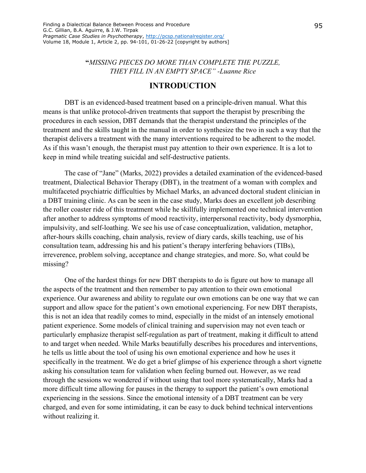**"***MISSING PIECES DO MORE THAN COMPLETE THE PUZZLE, THEY FILL IN AN EMPTY SPACE" -Luanne Rice* 

#### **INTRODUCTION**

DBT is an evidenced-based treatment based on a principle-driven manual. What this means is that unlike protocol-driven treatments that support the therapist by prescribing the procedures in each session, DBT demands that the therapist understand the principles of the treatment and the skills taught in the manual in order to synthesize the two in such a way that the therapist delivers a treatment with the many interventions required to be adherent to the model. As if this wasn't enough, the therapist must pay attention to their own experience. It is a lot to keep in mind while treating suicidal and self-destructive patients.

The case of "Jane" (Marks, 2022) provides a detailed examination of the evidenced-based treatment, Dialectical Behavior Therapy (DBT), in the treatment of a woman with complex and multifaceted psychiatric difficulties by Michael Marks, an advanced doctoral student clinician in a DBT training clinic. As can be seen in the case study, Marks does an excellent job describing the roller coaster ride of this treatment while he skillfully implemented one technical intervention after another to address symptoms of mood reactivity, interpersonal reactivity, body dysmorphia, impulsivity, and self-loathing. We see his use of case conceptualization, validation, metaphor, after-hours skills coaching, chain analysis, review of diary cards, skills teaching, use of his consultation team, addressing his and his patient's therapy interfering behaviors (TIBs), irreverence, problem solving, acceptance and change strategies, and more. So, what could be missing?

One of the hardest things for new DBT therapists to do is figure out how to manage all the aspects of the treatment and then remember to pay attention to their own emotional experience. Our awareness and ability to regulate our own emotions can be one way that we can support and allow space for the patient's own emotional experiencing. For new DBT therapists, this is not an idea that readily comes to mind, especially in the midst of an intensely emotional patient experience. Some models of clinical training and supervision may not even teach or particularly emphasize therapist self-regulation as part of treatment, making it difficult to attend to and target when needed. While Marks beautifully describes his procedures and interventions, he tells us little about the tool of using his own emotional experience and how he uses it specifically in the treatment. We do get a brief glimpse of his experience through a short vignette asking his consultation team for validation when feeling burned out. However, as we read through the sessions we wondered if without using that tool more systematically, Marks had a more difficult time allowing for pauses in the therapy to support the patient's own emotional experiencing in the sessions. Since the emotional intensity of a DBT treatment can be very charged, and even for some intimidating, it can be easy to duck behind technical interventions without realizing it.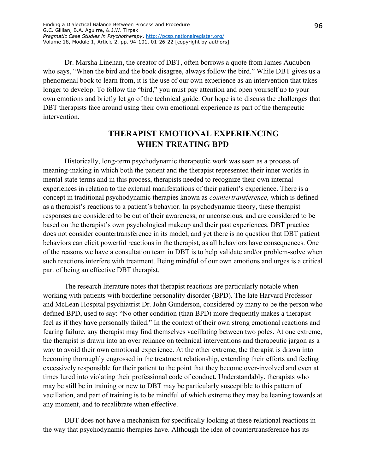Dr. Marsha Linehan, the creator of DBT, often borrows a quote from James Audubon who says, "When the bird and the book disagree, always follow the bird." While DBT gives us a phenomenal book to learn from, it is the use of our own experience as an intervention that takes longer to develop. To follow the "bird," you must pay attention and open yourself up to your own emotions and briefly let go of the technical guide. Our hope is to discuss the challenges that DBT therapists face around using their own emotional experience as part of the therapeutic intervention.

## **THERAPIST EMOTIONAL EXPERIENCING WHEN TREATING BPD**

Historically, long-term psychodynamic therapeutic work was seen as a process of meaning-making in which both the patient and the therapist represented their inner worlds in mental state terms and in this process, therapists needed to recognize their own internal experiences in relation to the external manifestations of their patient's experience. There is a concept in traditional psychodynamic therapies known as *countertransference,* which is defined as a therapist's reactions to a patient's behavior. In psychodynamic theory, these therapist responses are considered to be out of their awareness, or unconscious, and are considered to be based on the therapist's own psychological makeup and their past experiences. DBT practice does not consider countertransference in its model, and yet there is no question that DBT patient behaviors can elicit powerful reactions in the therapist, as all behaviors have consequences. One of the reasons we have a consultation team in DBT is to help validate and/or problem-solve when such reactions interfere with treatment. Being mindful of our own emotions and urges is a critical part of being an effective DBT therapist.

The research literature notes that therapist reactions are particularly notable when working with patients with borderline personality disorder (BPD). The late Harvard Professor and McLean Hospital psychiatrist Dr. John Gunderson, considered by many to be the person who defined BPD, used to say: "No other condition (than BPD) more frequently makes a therapist feel as if they have personally failed." In the context of their own strong emotional reactions and fearing failure, any therapist may find themselves vacillating between two poles. At one extreme, the therapist is drawn into an over reliance on technical interventions and therapeutic jargon as a way to avoid their own emotional experience. At the other extreme, the therapist is drawn into becoming thoroughly engrossed in the treatment relationship, extending their efforts and feeling excessively responsible for their patient to the point that they become over-involved and even at times lured into violating their professional code of conduct. Understandably, therapists who may be still be in training or new to DBT may be particularly susceptible to this pattern of vacillation, and part of training is to be mindful of which extreme they may be leaning towards at any moment, and to recalibrate when effective.

DBT does not have a mechanism for specifically looking at these relational reactions in the way that psychodynamic therapies have. Although the idea of countertransference has its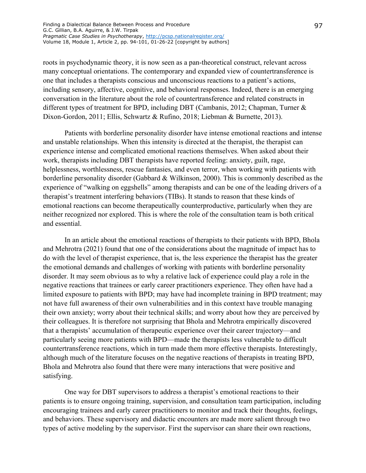roots in psychodynamic theory, it is now seen as a pan-theoretical construct, relevant across many conceptual orientations. The contemporary and expanded view of countertransference is one that includes a therapists conscious and unconscious reactions to a patient's actions, including sensory, affective, cognitive, and behavioral responses. Indeed, there is an emerging conversation in the literature about the role of countertransference and related constructs in different types of treatment for BPD, including DBT (Cambanis, 2012; Chapman, Turner & Dixon-Gordon, 2011; Ellis, Schwartz & Rufino, 2018; Liebman & Burnette, 2013).

Patients with borderline personality disorder have intense emotional reactions and intense and unstable relationships. When this intensity is directed at the therapist, the therapist can experience intense and complicated emotional reactions themselves. When asked about their work, therapists including DBT therapists have reported feeling: anxiety, guilt, rage, helplessness, worthlessness, rescue fantasies, and even terror, when working with patients with borderline personality disorder (Gabbard & Wilkinson, 2000). This is commonly described as the experience of "walking on eggshells" among therapists and can be one of the leading drivers of a therapist's treatment interfering behaviors (TIBs). It stands to reason that these kinds of emotional reactions can become therapeutically counterproductive, particularly when they are neither recognized nor explored. This is where the role of the consultation team is both critical and essential.

In an article about the emotional reactions of therapists to their patients with BPD, Bhola and Mehrotra (2021) found that one of the considerations about the magnitude of impact has to do with the level of therapist experience, that is, the less experience the therapist has the greater the emotional demands and challenges of working with patients with borderline personality disorder. It may seem obvious as to why a relative lack of experience could play a role in the negative reactions that trainees or early career practitioners experience. They often have had a limited exposure to patients with BPD; may have had incomplete training in BPD treatment; may not have full awareness of their own vulnerabilities and in this context have trouble managing their own anxiety; worry about their technical skills; and worry about how they are perceived by their colleagues. It is therefore not surprising that Bhola and Mehrotra empirically discovered that a therapists' accumulation of therapeutic experience over their career trajectory—and particularly seeing more patients with BPD—made the therapists less vulnerable to difficult countertransference reactions, which in turn made them more effective therapists. Interestingly, although much of the literature focuses on the negative reactions of therapists in treating BPD, Bhola and Mehrotra also found that there were many interactions that were positive and satisfying.

One way for DBT supervisors to address a therapist's emotional reactions to their patients is to ensure ongoing training, supervision, and consultation team participation, including encouraging trainees and early career practitioners to monitor and track their thoughts, feelings, and behaviors. These supervisory and didactic encounters are made more salient through two types of active modeling by the supervisor. First the supervisor can share their own reactions,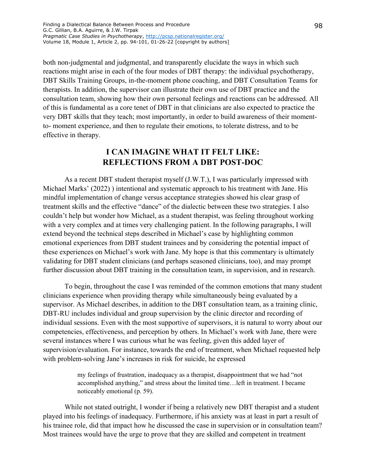both non-judgmental and judgmental, and transparently elucidate the ways in which such reactions might arise in each of the four modes of DBT therapy: the individual psychotherapy, DBT Skills Training Groups, in-the-moment phone coaching, and DBT Consultation Teams for therapists. In addition, the supervisor can illustrate their own use of DBT practice and the consultation team, showing how their own personal feelings and reactions can be addressed. All of this is fundamental as a core tenet of DBT in that clinicians are also expected to practice the very DBT skills that they teach; most importantly, in order to build awareness of their momentto- moment experience, and then to regulate their emotions, to tolerate distress, and to be effective in therapy.

# **I CAN IMAGINE WHAT IT FELT LIKE: REFLECTIONS FROM A DBT POST-DOC**

As a recent DBT student therapist myself (J.W.T.), I was particularly impressed with Michael Marks' (2022) ) intentional and systematic approach to his treatment with Jane. His mindful implementation of change versus acceptance strategies showed his clear grasp of treatment skills and the effective "dance" of the dialectic between these two strategies. I also couldn't help but wonder how Michael, as a student therapist, was feeling throughout working with a very complex and at times very challenging patient. In the following paragraphs, I will extend beyond the technical steps described in Michael's case by highlighting common emotional experiences from DBT student trainees and by considering the potential impact of these experiences on Michael's work with Jane. My hope is that this commentary is ultimately validating for DBT student clinicians (and perhaps seasoned clinicians, too), and may prompt further discussion about DBT training in the consultation team, in supervision, and in research.

To begin, throughout the case I was reminded of the common emotions that many student clinicians experience when providing therapy while simultaneously being evaluated by a supervisor. As Michael describes, in addition to the DBT consultation team, as a training clinic, DBT-RU includes individual and group supervision by the clinic director and recording of individual sessions. Even with the most supportive of supervisors, it is natural to worry about our competencies, effectiveness, and perception by others. In Michael's work with Jane, there were several instances where I was curious what he was feeling, given this added layer of supervision/evaluation. For instance, towards the end of treatment, when Michael requested help with problem-solving Jane's increases in risk for suicide, he expressed

> my feelings of frustration, inadequacy as a therapist, disappointment that we had "not accomplished anything," and stress about the limited time…left in treatment. I became noticeably emotional (p. 59).

While not stated outright, I wonder if being a relatively new DBT therapist and a student played into his feelings of inadequacy. Furthermore, if his anxiety was at least in part a result of his trainee role, did that impact how he discussed the case in supervision or in consultation team? Most trainees would have the urge to prove that they are skilled and competent in treatment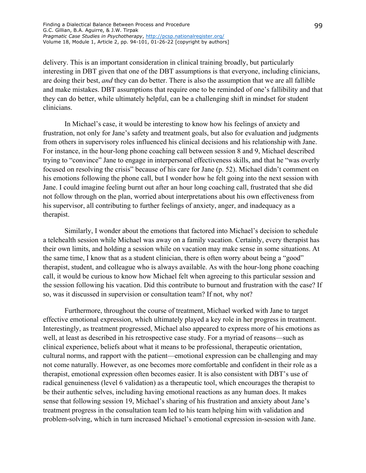delivery. This is an important consideration in clinical training broadly, but particularly interesting in DBT given that one of the DBT assumptions is that everyone, including clinicians, are doing their best, *and* they can do better. There is also the assumption that we are all fallible and make mistakes. DBT assumptions that require one to be reminded of one's fallibility and that they can do better, while ultimately helpful, can be a challenging shift in mindset for student clinicians.

In Michael's case, it would be interesting to know how his feelings of anxiety and frustration, not only for Jane's safety and treatment goals, but also for evaluation and judgments from others in supervisory roles influenced his clinical decisions and his relationship with Jane. For instance, in the hour-long phone coaching call between session 8 and 9, Michael described trying to "convince" Jane to engage in interpersonal effectiveness skills, and that he "was overly focused on resolving the crisis" because of his care for Jane (p. 52). Michael didn't comment on his emotions following the phone call, but I wonder how he felt going into the next session with Jane. I could imagine feeling burnt out after an hour long coaching call, frustrated that she did not follow through on the plan, worried about interpretations about his own effectiveness from his supervisor, all contributing to further feelings of anxiety, anger, and inadequacy as a therapist.

Similarly, I wonder about the emotions that factored into Michael's decision to schedule a telehealth session while Michael was away on a family vacation. Certainly, every therapist has their own limits, and holding a session while on vacation may make sense in some situations. At the same time, I know that as a student clinician, there is often worry about being a "good" therapist, student, and colleague who is always available. As with the hour-long phone coaching call, it would be curious to know how Michael felt when agreeing to this particular session and the session following his vacation. Did this contribute to burnout and frustration with the case? If so, was it discussed in supervision or consultation team? If not, why not?

Furthermore, throughout the course of treatment, Michael worked with Jane to target effective emotional expression, which ultimately played a key role in her progress in treatment. Interestingly, as treatment progressed, Michael also appeared to express more of his emotions as well, at least as described in his retrospective case study. For a myriad of reasons—such as clinical experience, beliefs about what it means to be professional, therapeutic orientation, cultural norms, and rapport with the patient—emotional expression can be challenging and may not come naturally. However, as one becomes more comfortable and confident in their role as a therapist, emotional expression often becomes easier. It is also consistent with DBT's use of radical genuineness (level 6 validation) as a therapeutic tool, which encourages the therapist to be their authentic selves, including having emotional reactions as any human does. It makes sense that following session 19, Michael's sharing of his frustration and anxiety about Jane's treatment progress in the consultation team led to his team helping him with validation and problem-solving, which in turn increased Michael's emotional expression in-session with Jane.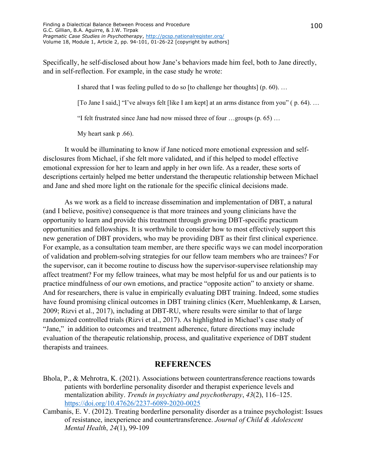Specifically, he self-disclosed about how Jane's behaviors made him feel, both to Jane directly, and in self-reflection. For example, in the case study he wrote:

I shared that I was feeling pulled to do so [to challenge her thoughts] (p. 60). …

[To Jane I said,] "I've always felt [like I am kept] at an arms distance from you" ( p. 64). …

"I felt frustrated since Jane had now missed three of four …groups (p. 65) …

My heart sank p .66).

It would be illuminating to know if Jane noticed more emotional expression and selfdisclosures from Michael, if she felt more validated, and if this helped to model effective emotional expression for her to learn and apply in her own life. As a reader, these sorts of descriptions certainly helped me better understand the therapeutic relationship between Michael and Jane and shed more light on the rationale for the specific clinical decisions made.

As we work as a field to increase dissemination and implementation of DBT, a natural (and I believe, positive) consequence is that more trainees and young clinicians have the opportunity to learn and provide this treatment through growing DBT-specific practicum opportunities and fellowships. It is worthwhile to consider how to most effectively support this new generation of DBT providers, who may be providing DBT as their first clinical experience. For example, as a consultation team member, are there specific ways we can model incorporation of validation and problem-solving strategies for our fellow team members who are trainees? For the supervisor, can it become routine to discuss how the supervisor-supervisee relationship may affect treatment? For my fellow trainees, what may be most helpful for us and our patients is to practice mindfulness of our own emotions, and practice "opposite action" to anxiety or shame. And for researchers, there is value in empirically evaluating DBT training. Indeed, some studies have found promising clinical outcomes in DBT training clinics (Kerr, Muehlenkamp, & Larsen, 2009; Rizvi et al., 2017), including at DBT-RU, where results were similar to that of large randomized controlled trials (Rizvi et al., 2017). As highlighted in Michael's case study of "Jane," in addition to outcomes and treatment adherence, future directions may include evaluation of the therapeutic relationship, process, and qualitative experience of DBT student therapists and trainees.

## **REFERENCES**

- Bhola, P., & Mehrotra, K. (2021). Associations between countertransference reactions towards patients with borderline personality disorder and therapist experience levels and mentalization ability. *Trends in psychiatry and psychotherapy*, *43*(2), 116–125. <https://doi.org/10.47626/2237-6089-2020-0025>
- Cambanis, E. V. (2012). Treating borderline personality disorder as a trainee psychologist: Issues of resistance, inexperience and countertransference. *Journal of Child & Adolescent Mental Health*, *24*(1), 99-109